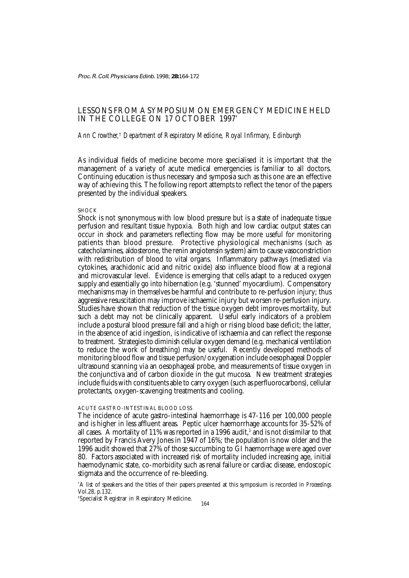Proc. R. Coll. Physicians Edinb. 1998; **28:**164-172

# LESSONS FROM A SYMPOSIUM ON EMERGENCY MEDICINE HELD IN THE COLLEGE ON 17 OCTOBER 1997\*

*Ann Crowther,*†  *Department of Respiratory Medicine, Royal Infirmary, Edinburgh*

As individual fields of medicine become more specialised it is important that the management of a variety of acute medical emergencies is familiar to all doctors. Continuing education is thus necessary and symposia such as this one are an effective way of achieving this. The following report attempts to reflect the tenor of the papers presented by the individual speakers.

## **SHOCK**

Shock is not synonymous with low blood pressure but is a state of inadequate tissue perfusion and resultant tissue hypoxia. Both high and low cardiac output states can occur in shock and parameters reflecting flow may be more useful for monitoring patients than blood pressure. Protective physiological mechanisms (such as catecholamines, aldosterone, the renin angiotensin system) aim to cause vasoconstriction with redistribution of blood to vital organs. Inflammatory pathways (mediated via cytokines, arachidonic acid and nitric oxide) also influence blood flow at a regional and microvascular level. Evidence is emerging that cells adapt to a reduced oxygen supply and essentially go into hibernation (e.g. 'stunned' myocardium). Compensatory mechanisms may in themselves be harmful and contribute to re-perfusion injury; thus aggressive resuscitation may improve ischaemic injury but worsen re-perfusion injury. Studies have shown that reduction of the tissue oxygen debt improves mortality, but such a debt may not be clinically apparent. Useful early indicators of a problem include a postural blood pressure fall and a high or rising blood base deficit; the latter, in the absence of acid ingestion, is indicative of ischaemia and can reflect the response to treatment. Strategies to diminish cellular oxygen demand (e.g. mechanical ventilation to reduce the work of breathing) may be useful. Recently developed methods of monitoring blood flow and tissue perfusion/oxygenation include oesophageal Doppler ultrasound scanning via an oesophageal probe, and measurements of tissue oxygen in the conjunctiva and of carbon dioxide in the gut mucosa. New treatment strategies include fluids with constituents able to carry oxygen (such as perfluorocarbons), cellular protectants, oxygen-scavenging treatments and cooling.

## ACUTE GASTRO-INTESTINAL BLOOD LOSS

The incidence of acute gastro-intestinal haemorrhage is 47-116 per 100,000 people and is higher in less affluent areas. Peptic ulcer haemorrhage accounts for 35-52% of all cases.  $\,$  A mortality of  $11\%$  was reported in a  $1996$  audit, $^1$  and is not dissimilar to that reported by Francis Avery Jones in 1947 of 16%; the population is now older and the 1996 audit showed that 27% of those succumbing to GI haemorrhage were aged over 80. Factors associated with increased risk of mortality included increasing age, initial haemodynamic state, co-morbidity such as renal failure or cardiac disease, endoscopic stigmata and the occurrence of re-bleeding.

\* A list of speakers and the titles of their papers presented at this symposium is recorded in *Proceedings* Vol.28, p.132.

† Specialist Registrar in Respiratory Medicine.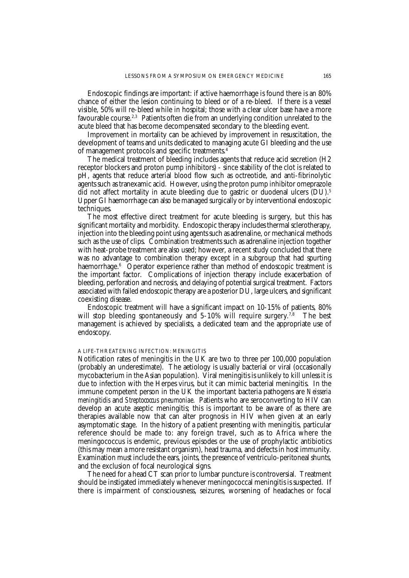Endoscopic findings are important: if active haemorrhage is found there is an 80% chance of either the lesion continuing to bleed or of a re-bleed. If there is a vessel visible, 50% will re-bleed while in hospital; those with a clear ulcer base have a more favourable course.<sup>2,3</sup> Patients often die from an underlying condition unrelated to the acute bleed that has become decompensated secondary to the bleeding event.

Improvement in mortality can be achieved by improvement in resuscitation, the development of teams and units dedicated to managing acute GI bleeding and the use of management protocols and specific treatments.4

The medical treatment of bleeding includes agents that reduce acid secretion (H2 receptor blockers and proton pump inhibitors) - since stability of the clot is related to pH, agents that reduce arterial blood flow such as octreotide, and anti-fibrinolytic agents such as tranexamic acid. However, using the proton pump inhibitor omeprazole did not affect mortality in acute bleeding due to gastric or duodenal ulcers (DU).<sup>5</sup> Upper GI haemorrhage can also be managed surgically or by interventional endoscopic techniques.

The most effective direct treatment for acute bleeding is surgery, but this has significant mortality and morbidity. Endoscopic therapy includes thermal sclerotherapy, injection into the bleeding point using agents such as adrenaline, or mechanical methods such as the use of clips. Combination treatments such as adrenaline injection together with heat-probe treatment are also used; however, a recent study concluded that there was no advantage to combination therapy except in a subgroup that had spurting haemorrhage.<sup>6</sup> Operator experience rather than method of endoscopic treatment is the important factor. Complications of injection therapy include exacerbation of bleeding, perforation and necrosis, and delaying of potential surgical treatment. Factors associated with failed endoscopic therapy are a posterior DU, large ulcers, and significant coexisting disease.

Endoscopic treatment will have a significant impact on 10-15% of patients, 80% will stop bleeding spontaneously and  $5-10\%$  will require surgery.<sup>7,8</sup> The best management is achieved by specialists, a dedicated team and the appropriate use of endoscopy.

## A LIFE-THREATENING INFECTION: MENINGITIS

Notification rates of meningitis in the UK are two to three per 100,000 population (probably an underestimate). The aetiology is usually bacterial or viral (occasionally mycobacterium in the Asian population). Viral meningitis is unlikely to kill unless it is due to infection with the Herpes virus, but it can mimic bacterial meningitis. In the immune competent person in the UK the important bacteria pathogens are *Neisseria meningitidis* and *Streptococcus pneumoniae*. Patients who are seroconverting to HIV can develop an acute aseptic meningitis; this is important to be aware of as there are therapies available now that can alter prognosis in HIV when given at an early asymptomatic stage. In the history of a patient presenting with meningitis, particular reference should be made to: any foreign travel, such as to Africa where the meningococcus is endemic, previous episodes or the use of prophylactic antibiotics (this may mean a more resistant organism), head trauma, and defects in host immunity. Examination must include the ears, joints, the presence of ventriculo-peritoneal shunts, and the exclusion of focal neurological signs.

The need for a head CT scan prior to lumbar puncture is controversial. Treatment should be instigated immediately whenever meningococcal meningitis is suspected. If there is impairment of consciousness, seizures, worsening of headaches or focal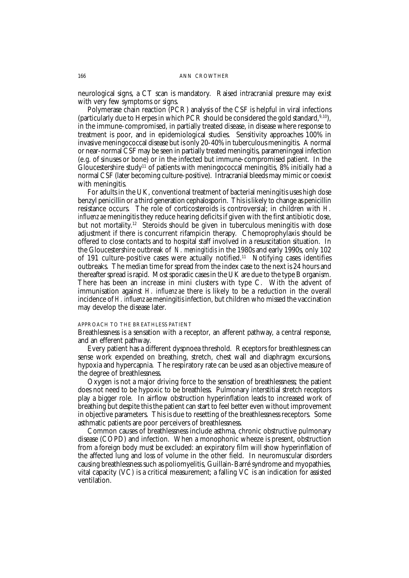neurological signs, a CT scan is mandatory. Raised intracranial pressure may exist with very few symptoms or signs.

Polymerase chain reaction (PCR) analysis of the CSF is helpful in viral infections (particularly due to Herpes in which PCR should be considered the gold standard,  $9,10$ ), in the immune-compromised, in partially treated disease, in disease where response to treatment is poor, and in epidemiological studies. Sensitivity approaches 100% in invasive meningococcal disease but is only 20-40% in tuberculous meningitis. A normal or near-normal CSF may be seen in partially treated meningitis, parameningeal infection (e.g. of sinuses or bone) or in the infected but immune-compromised patient. In the Gloucestershire study<sup>11</sup> of patients with meningococcal meningitis,  $8\%$  initially had a normal CSF (later becoming culture-positive). Intracranial bleeds may mimic or coexist with meningitis.

For adults in the UK, conventional treatment of bacterial meningitis uses high dose benzyl penicillin or a third generation cephalosporin. This is likely to change as penicillin resistance occurs. The role of corticosteroids is controversial; in children with *H. influenzae* meningitis they reduce hearing deficits if given with the first antibiotic dose, but not mortality.<sup>12</sup> Steroids should be given in tuberculous meningitis with dose adjustment if there is concurrent rifampicin therapy. Chemoprophylaxis should be offered to close contacts and to hospital staff involved in a resuscitation situation. In the Gloucestershire outbreak of *N. meningitidis* in the 1980s and early 1990s, only 102 of 191 culture-positive cases were actually notified.<sup>11</sup> Notifying cases identifies outbreaks. The median time for spread from the index case to the next is 24 hours and thereafter spread is rapid. Most sporadic cases in the UK are due to the type B organism. There has been an increase in mini clusters with type C. With the advent of immunisation against *H. influenzae* there is likely to be a reduction in the overall incidence of *H. influenzae* meningitis infection, but children who missed the vaccination may develop the disease later.

### APPROACH TO THE BREATHLESS PATIENT

Breathlessness is a sensation with a receptor, an afferent pathway, a central response, and an efferent pathway.

Every patient has a different dyspnoea threshold. Receptors for breathlessness can sense work expended on breathing, stretch, chest wall and diaphragm excursions, hypoxia and hypercapnia. The respiratory rate can be used as an objective measure of the degree of breathlessness.

Oxygen is not a major driving force to the sensation of breathlessness; the patient does not need to be hypoxic to be breathless. Pulmonary interstitial stretch receptors play a bigger role. In airflow obstruction hyperinflation leads to increased work of breathing but despite this the patient can start to feel better even without improvement in objective parameters. This is due to resetting of the breathlessness receptors. Some asthmatic patients are poor perceivers of breathlessness.

Common causes of breathlessness include asthma, chronic obstructive pulmonary disease (COPD) and infection. When a monophonic wheeze is present, obstruction from a foreign body must be excluded: an expiratory film will show hyperinflation of the affected lung and loss of volume in the other field. In neuromuscular disorders causing breathlessness such as poliomyelitis, Guillain-Barré syndrome and myopathies, vital capacity (VC) is a critical measurement; a falling VC is an indication for assisted ventilation.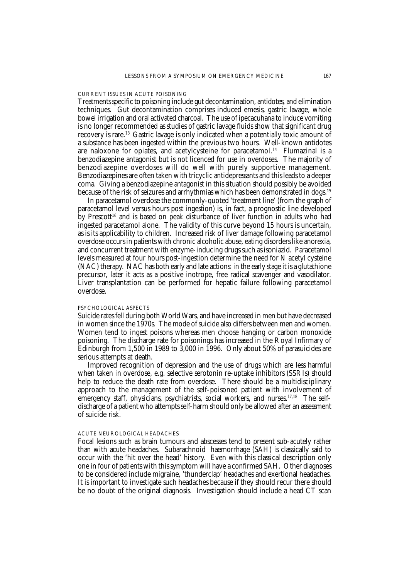### CURRENT ISSUES IN ACUTE POISONING

Treatments specific to poisoning include gut decontamination, antidotes, and elimination techniques. Gut decontamination comprises induced emesis, gastric lavage, whole bowel irrigation and oral activated charcoal. The use of ipecacuhana to induce vomiting is no longer recommended as studies of gastric lavage fluids show that significant drug recovery is rare.<sup>13</sup> Gastric lavage is only indicated when a potentially toxic amount of a substance has been ingested within the previous two hours. Well-known antidotes are naloxone for opiates, and acetylcysteine for paracetamol.<sup>14</sup> Flumazinal is a benzodiazepine antagonist but is not licenced for use in overdoses. The majority of benzodiazepine overdoses will do well with purely supportive management. Benzodiazepines are often taken with tricyclic antidepressants and this leads to a deeper coma. Giving a benzodiazepine antagonist in this situation should possibly be avoided because of the risk of seizures and arrhythmias which has been demonstrated in dogs.15

In paracetamol overdose the commonly-quoted 'treatment line' (from the graph of paracetamol level versus hours post ingestion) is, in fact, a prognostic line developed by Prescott<sup>16</sup> and is based on peak disturbance of liver function in adults who had ingested paracetamol alone. The validity of this curve beyond 15 hours is uncertain, as is its applicability to children. Increased risk of liver damage following paracetamol overdose occurs in patients with chronic alcoholic abuse, eating disorders like anorexia, and concurrent treatment with enzyme-inducing drugs such as isoniazid. Paracetamol levels measured at four hours post-ingestion determine the need for N acetyl cysteine (NAC) therapy. NAC has both early and late actions: in the early stage it is a glutathione precursor, later it acts as a positive inotrope, free radical scavenger and vasodilator. Liver transplantation can be performed for hepatic failure following paracetamol overdose.

#### PSYCHOLOGICAL ASPECTS

Suicide rates fell during both World Wars, and have increased in men but have decreased in women since the 1970s. The mode of suicide also differs between men and women. Women tend to ingest poisons whereas men choose hanging or carbon monoxide poisoning. The discharge rate for poisonings has increased in the Royal Infirmary of Edinburgh from 1,500 in 1989 to 3,000 in 1996. Only about 50% of parasuicides are serious attempts at death.

Improved recognition of depression and the use of drugs which are less harmful when taken in overdose, e.g. selective serotonin re-uptake inhibitors (SSRIs) should help to reduce the death rate from overdose. There should be a multidisciplinary approach to the management of the self-poisoned patient with involvement of emergency staff, physicians, psychiatrists, social workers, and nurses.<sup>17,18</sup> The selfdischarge of a patient who attempts self-harm should only be allowed after an assessment of suicide risk.

## ACUTE NEUROLOGICAL HEADACHES

Focal lesions such as brain tumours and abscesses tend to present sub-acutely rather than with acute headaches. Subarachnoid haemorrhage (SAH) is classically said to occur with the 'hit over the head' history. Even with this classical description only one in four of patients with this symptom will have a confirmed SAH. Other diagnoses to be considered include migraine, 'thunderclap' headaches and exertional headaches. It is important to investigate such headaches because if they should recur there should be no doubt of the original diagnosis. Investigation should include a head CT scan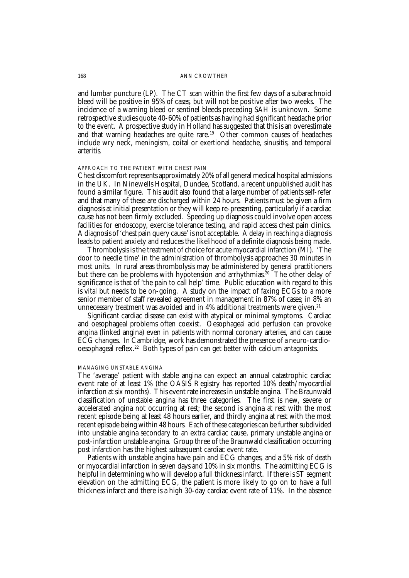### 168 ANN CROWTHER

and lumbar puncture (LP). The CT scan within the first few days of a subarachnoid bleed will be positive in 95% of cases, but will not be positive after two weeks. The incidence of a warning bleed or sentinel bleeds preceding SAH is unknown. Some retrospective studies quote 40-60% of patients as having had significant headache prior to the event. A prospective study in Holland has suggested that this is an overestimate and that warning headaches are quite rare.<sup>19</sup> Other common causes of headaches include wry neck, meningism, coital or exertional headache, sinusitis, and temporal arteritis.

# APPROACH TO THE PATIENT WITH CHEST PAIN

Chest discomfort represents approximately 20% of all general medical hospital admissions in the UK. In Ninewells Hospital, Dundee, Scotland, a recent unpublished audit has found a similar figure. This audit also found that a large number of patients self-refer and that many of these are discharged within 24 hours. Patients must be given a firm diagnosis at initial presentation or they will keep re-presenting, particularly if a cardiac cause has not been firmly excluded. Speeding up diagnosis could involve open access facilities for endoscopy, exercise tolerance testing, and rapid access chest pain clinics. A diagnosis of 'chest pain query cause' is not acceptable. A delay in reaching a diagnosis leads to patient anxiety and reduces the likelihood of a definite diagnosis being made.

Thrombolysis is the treatment of choice for acute myocardial infarction (MI). 'The door to needle time' in the administration of thrombolysis approaches 30 minutes in most units. In rural areas thrombolysis may be administered by general practitioners but there can be problems with hypotension and arrhythmias.<sup>20</sup> The other delay of significance is that of 'the pain to call help' time. Public education with regard to this is vital but needs to be on-going. A study on the impact of faxing ECGs to a more senior member of staff revealed agreement in management in 87% of cases; in 8% an unnecessary treatment was avoided and in  $4\%$  additional treatments were given.<sup>21</sup>

Significant cardiac disease can exist with atypical or minimal symptoms. Cardiac and oesophageal problems often coexist. Oesophageal acid perfusion can provoke angina (linked angina) even in patients with normal coronary arteries, and can cause ECG changes. In Cambridge, work has demonstrated the presence of a neuro-cardiooesophageal reflex.22 Both types of pain can get better with calcium antagonists.

## MANAGING UNSTABLE ANGINA

The 'average' patient with stable angina can expect an annual catastrophic cardiac event rate of at least 1% (the OASIS Registry has reported 10% death/myocardial infarction at six months). This event rate increases in unstable angina. The Braunwald classification of unstable angina has three categories. The first is new, severe or accelerated angina not occurring at rest; the second is angina at rest with the most recent episode being at least 48 hours earlier, and thirdly angina at rest with the most recent episode being within 48 hours. Each of these categories can be further subdivided into unstable angina secondary to an extra cardiac cause, primary unstable angina or post-infarction unstable angina. Group three of the Braunwald classification occurring post infarction has the highest subsequent cardiac event rate.

Patients with unstable angina have pain and ECG changes, and a 5% risk of death or myocardial infarction in seven days and 10% in six months. The admitting ECG is helpful in determining who will develop a full thickness infarct. If there is ST segment elevation on the admitting ECG, the patient is more likely to go on to have a full thickness infarct and there is a high 30-day cardiac event rate of 11%. In the absence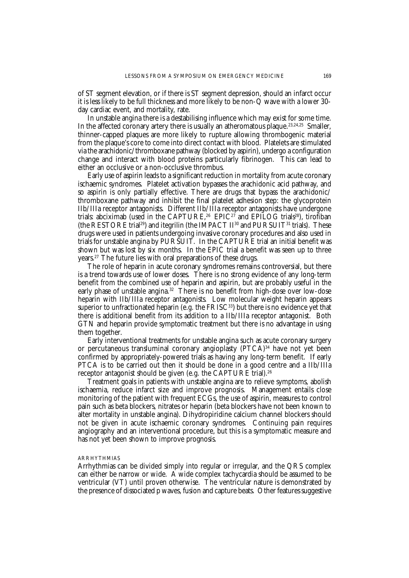of ST segment elevation, or if there is ST segment depression, should an infarct occur it is less likely to be full thickness and more likely to be non-Q wave with a lower 30 day cardiac event, and mortality, rate.

In unstable angina there is a destabilising influence which may exist for some time. In the affected coronary artery there is usually an atheromatous plaque.<sup>23,24,25</sup> Smaller, thinner-capped plaques are more likely to rupture allowing thrombogenic material from the plaque's core to come into direct contact with blood. Platelets are stimulated via the arachidonic/thromboxane pathway (blocked by aspirin), undergo a configuration change and interact with blood proteins particularly fibrinogen. This can lead to either an occlusive or a non-occlusive thrombus.

Early use of aspirin leads to a significant reduction in mortality from acute coronary ischaemic syndromes. Platelet activation bypasses the arachidonic acid pathway, and so aspirin is only partially effective. There are drugs that bypass the arachidonic/ thromboxane pathway and inhibit the final platelet adhesion step: the glycoprotein IIb/IIIa receptor antagonists. Different IIb/IIIa receptor antagonists have undergone trials: abciximab (used in the CAPTURE,<sup>26</sup> EPIC<sup>27</sup> and EPILOG trials<sup>28</sup>), tirofiban (the RESTORE trial<sup>29</sup>) and itegrilin (the IMPACT II<sup>30</sup> and PURSUIT<sup>31</sup> trials). These drugs were used in patients undergoing invasive coronary procedures and also used in trials for unstable angina by PURSUIT. In the CAPTURE trial an initial benefit was shown but was lost by six months. In the EPIC trial a benefit was seen up to three years.<sup>27</sup> The future lies with oral preparations of these drugs.

The role of heparin in acute coronary syndromes remains controversial, but there is a trend towards use of lower doses. There is no strong evidence of any long-term benefit from the combined use of heparin and aspirin, but are probably useful in the early phase of unstable angina.<sup>32</sup> There is no benefit from high-dose over low-dose heparin with IIb/IIIa receptor antagonists. Low molecular weight heparin appears superior to unfractionated heparin (e.g. the  $FRISC^{33}$ ) but there is no evidence yet that there is additional benefit from its addition to a IIb/IIIa receptor antagonist. Both GTN and heparin provide symptomatic treatment but there is no advantage in using them together.

Early interventional treatments for unstable angina such as acute coronary surgery or percutaneous transluminal coronary angioplasty (PTCA)<sup>34</sup> have not yet been confirmed by appropriately-powered trials as having any long-term benefit. If early PTCA is to be carried out then it should be done in a good centre and a IIb/IIIa receptor antagonist should be given (e.g. the CAPTURE trial).<sup>26</sup>

Treatment goals in patients with unstable angina are to relieve symptoms, abolish ischaemia, reduce infarct size and improve prognosis. Management entails close monitoring of the patient with frequent ECGs, the use of aspirin, measures to control pain such as beta blockers, nitrates or heparin (beta blockers have not been known to alter mortality in unstable angina). Dihydropiridine calcium channel blockers should not be given in acute ischaemic coronary syndromes. Continuing pain requires angiography and an interventional procedure, but this is a symptomatic measure and has not yet been shown to improve prognosis.

#### ARRHYTHMIAS

Arrhythmias can be divided simply into regular or irregular, and the QRS complex can either be narrow or wide. A wide complex tachycardia should be assumed to be ventricular (VT) until proven otherwise. The ventricular nature is demonstrated by the presence of dissociated p waves, fusion and capture beats. Other features suggestive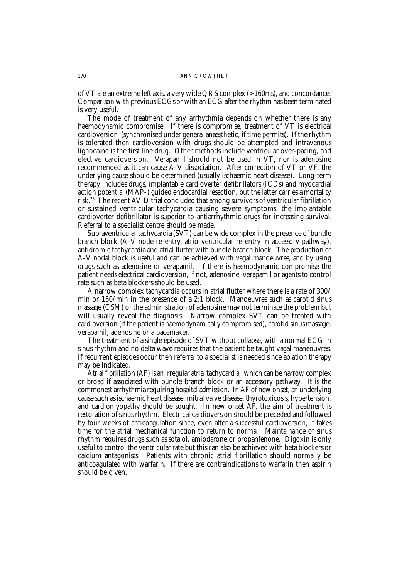#### 170 ANN CROWTHER

of VT are an extreme left axis, a very wide QRS complex (>160ms), and concordance. Comparison with previous ECGs or with an ECG after the rhythm has been terminated is very useful.

The mode of treatment of any arrhythmia depends on whether there is any haemodynamic compromise. If there is compromise, treatment of VT is electrical cardioversion (synchronised under general anaesthetic, if time permits). If the rhythm is tolerated then cardioversion with drugs should be attempted and intravenous lignocaine is the first line drug. Other methods include ventricular over-pacing, and elective cardioversion. Verapamil should not be used in VT, nor is adenosine recommended as it can cause A-V dissociation. After correction of VT or VF, the underlying cause should be determined (usually ischaemic heart disease). Long-term therapy includes drugs, implantable cardioverter defibrillators (ICDs) and myocardial action potential (MAP-) guided endocardial resection, but the latter carries a mortality risk.35 The recent AVID trial concluded that among survivors of ventricular fibrillation or sustained ventricular tachycardia causing severe symptoms, the implantable cardioverter defibrillator is superior to antiarrhythmic drugs for increasing survival. Referral to a specialist centre should be made.

Supraventricular tachycardia (SVT) can be wide complex in the presence of bundle branch block (A-V node re-entry, atrio-ventricular re-entry in accessory pathway), antidromic tachycardia and atrial flutter with bundle branch block. The production of A-V nodal block is useful and can be achieved with vagal manoeuvres, and by using drugs such as adenosine or verapamil. If there is haemodynamic compromise the patient needs electrical cardioversion, if not, adenosine, verapamil or agents to control rate such as beta blockers should be used.

A narrow complex tachycardia occurs in atrial flutter where there is a rate of 300/ min or 150/min in the presence of a 2:1 block. Manoeuvres such as carotid sinus massage (CSM) or the administration of adenosine may not terminate the problem but will usually reveal the diagnosis. Narrow complex SVT can be treated with cardioversion (if the patient is haemodynamically compromised), carotid sinus massage, verapamil, adenosine or a pacemaker.

The treatment of a single episode of SVT without collapse, with a normal ECG in sinus rhythm and no delta wave requires that the patient be taught vagal maneouvres. If recurrent episodes occur then referral to a specialist is needed since ablation therapy may be indicated.

Atrial fibrillation (AF) is an irregular atrial tachycardia, which can be narrow complex or broad if associated with bundle branch block or an accessory pathway. It is the commonest arrhythmia requiring hospital admission. In AF of new onset, an underlying cause such as ischaemic heart disease, mitral valve disease, thyrotoxicosis, hypertension, and cardiomyopathy should be sought. In new onset AF, the aim of treatment is restoration of sinus rhythm. Electrical cardioversion should be preceded and followed by four weeks of anticoagulation since, even after a successful cardioversion, it takes time for the atrial mechanical function to return to normal. Maintainance of sinus rhythm requires drugs such as sotalol, amiodarone or propanfenone. Digoxin is only useful to control the ventricular rate but this can also be achieved with beta blockers or calcium antagonists. Patients with chronic atrial fibrillation should normally be anticoagulated with warfarin. If there are contraindications to warfarin then aspirin should be given.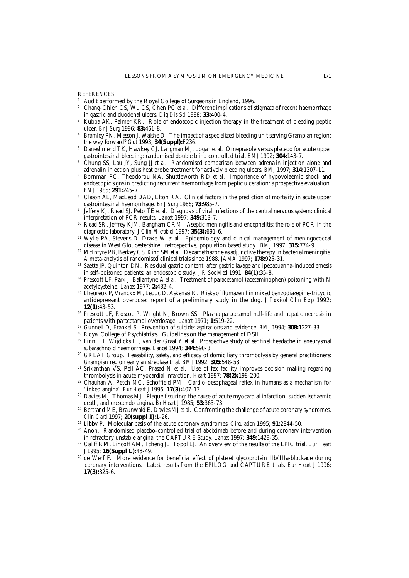**REFERENCES** 

- <sup>1</sup> Audit performed by the Royal College of Surgeons in England, 1996.<br><sup>2</sup> Chang Chion CS, Wu CS, Chan PC et al. Different implications of s
- <sup>2</sup> Chang-Chien CS, Wu CS, Chen PC *et al*. Different implications of stigmata of recent haemorrhage in gastric and duodenal ulcers. *Dig Dis Sci* 1988; **33:**400-4.
- <sup>3</sup> Kubba AK, Palmer KR. Role of endoscopic injection therapy in the treatment of bleeding peptic ulcer. *Br J Surg* 1996; **83:**461-8.
- <sup>4</sup> Bramley PN, Masson J, Walshe D. The impact of a specialized bleeding unit serving Grampian region: the way forward? *Gut* 1993; **34(Suppl):**F236.
- <sup>5</sup> Daneshmend TK, Hawkey CJ, Langman MJ, Logan *et al*. Omeprazole versus placebo for acute upper gastrointestinal bleeding: randomised double blind controlled trial. *BMJ* 1992; **304:**143-7.
- <sup>6</sup> Chung SS, Lau JY, Sung JJ *et al*. Randomised comparison between adrenalin injection alone and adrenalin injection plus heat probe treatment for actively bleeding ulcers. *BMJ* 1997; **314:**1307-11.
- <sup>7</sup> Bornman PC, Theodorou NA, Shuttleworth RD *et al*. Importance of hypovolaemic shock and endoscopic signs in predicting recurrent haemorrhage from peptic ulceration: a prospective evaluation. *BMJ* 1985; **291:**245-7.
- <sup>8</sup> Clason AE, MacLeod DAD, Elton RA. Clinical factors in the prediction of mortality in acute upper gastrointestinal haemorrhage. *Br J Surg* 1986; **73:**985-7.
- <sup>9</sup> Jeffery KJ, Read SJ, Peto TE *et al*. Diagnosis of viral infections of the central nervous system: clinical interpretation of PCR results. *Lancet* 1997; **349:**313-7.
- <sup>10</sup> Read SR, Jeffrey KJM, Bangham CRM. Aseptic meningitis and encephalitis: the role of PCR in the diagnostic laboratory. *J Clin Microbiol* 1997; **35(3):**691-6.
- <sup>11</sup> Wylie PA, Stevens D, Drake W *et al.* Epidemiology and clinical management of meningococcal disease in West Gloucestershire: retrospective, population based study. *BMJ* 1997; **315:**774-9.
- <sup>12</sup> McIntyre PB, Berkey CS, King SM *et al.* Dexamethazone as adjunctive therapy in bacterial meningitis. A meta-analysis of randomised clinical trials since 1988. *JAMA* 1997; **178:**925-31.
- <sup>13</sup> Saetta JP, Quinton DN. Residual gastric content after gastric lavage and ipecacuanha-induced emesis in self-poisoned patients: an endoscopic study. *J R Soc Med* 1991; **84(1):**35-8.
- <sup>14</sup> Prescott LF, Park J, Ballantyne A et al. Treatment of paracetamol (acetaminophen) poisoning with N acetylcysteine. *Lancet* 1977; **2:**432-4.
- <sup>15</sup> Lheureux P, Vranckx M, Leduc D, Askenasi R. Risks of flumazenil in mixed benzodiazepine-tricyclic antidepressant overdose: report of a preliminary study in the dog. *J Toxicol Clin Exp* 1992; **12(1):**43-53.
- <sup>16</sup> Prescott LF, Roscoe P, Wright N, Brown SS. Plasma paracetamol half-life and hepatic necrosis in patients with paracetamol overdosage. *Lancet* 1971; **1:**519-22.
- <sup>17</sup> Gunnell D, Frankel S. Prevention of suicide: aspirations and evidence. *BMJ* 1994; **308:**1227-33.
- <sup>18</sup> Royal College of Psychiatrists. Guidelines on the management of DSH.
- <sup>19</sup> Linn FH, Wijdicks EF, van der Graaf Y *et al*. Prospective study of sentinel headache in aneurysmal subarachnoid haemorrhage. *Lancet* 1994; **344:**590-3.
- <sup>20</sup> GREAT Group. Feasability, safety, and efficacy of domiciliary thrombolysis by general practitioners: Grampian region early anistreplase trial. *BMJ* 1992; **305:**548-53.
- <sup>21</sup> Srikanthan VS, Pell AC, Prasad N *et al*. Use of fax facility improves decision making regarding thrombolysis in acute myocardial infarction. *Heart* 1997; **78(2):**198-200.
- <sup>22</sup> Chauhan A, Petch MC, Schoffield PM. Cardio-oesophageal reflex in humans as a mechanism for 'linked angina'. *Eur Heart J* 1996; **17(3):**407-13.
- <sup>23</sup> Davies MJ, Thomas MJ. Plaque fissuring: the cause of acute myocardial infarction, sudden ischaemic death, and crescendo angina. *Br Heart J* 1985; **53:**363-73.
- <sup>24</sup> Bertrand ME, Braunwald E, Davies MJ *et al*. Confronting the challenge of acute coronary syndromes. *Clin Card* 1997; **20(suppl 1):**1-26.
- <sup>25</sup> Libby P. Molecular basis of the acute coronary syndromes. *Circulation* 1995; **91:**2844-50.
- <sup>26</sup> Anon. Randomised placebo-controlled trial of abciximab before and during coronary intervention in refractory unstable angina: the CAPTURE Study. *Lancet* 1997; **349:**1429-35.
- <sup>27</sup> Califf RM, Lincoff AM, Tcheng JE, Topol EJ. An overview of the results of the EPIC trial. *Eur Heart J* 1995; **16(Suppl L):**43-49.
- <sup>28</sup> de Werf F. More evidence for beneficial effect of platelet glycoprotein IIb/IIIa-blockade during coronary interventions. Latest results from the EPILOG and CAPTURE trials. *Eur Heart J* 1996; **17(3):**325-6.